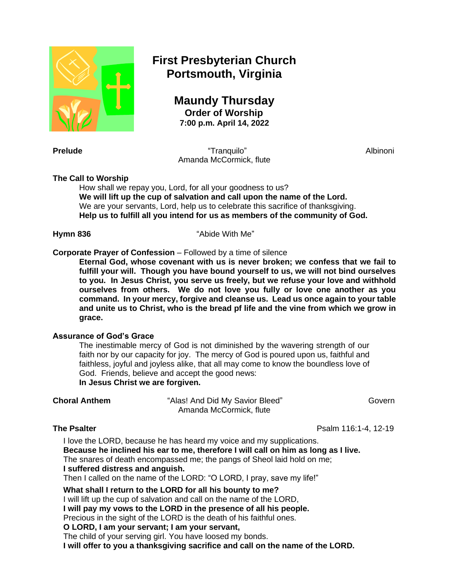

# **First Presbyterian Church Portsmouth, Virginia**

**Maundy Thursday Order of Worship 7:00 p.m. April 14, 2022**

**Prelude** Albinoni **Prelude** Albinoni **Prelude** Albinoni **Albinoni** Amanda McCormick, flute

# **The Call to Worship**

How shall we repay you, Lord, for all your goodness to us? **We will lift up the cup of salvation and call upon the name of the Lord.** We are your servants, Lord, help us to celebrate this sacrifice of thanksgiving. **Help us to fulfill all you intend for us as members of the community of God.**

**Hymn 836** "Abide With Me"

# **Corporate Prayer of Confession** – Followed by a time of silence

**Eternal God, whose covenant with us is never broken; we confess that we fail to fulfill your will. Though you have bound yourself to us, we will not bind ourselves to you. In Jesus Christ, you serve us freely, but we refuse your love and withhold ourselves from others. We do not love you fully or love one another as you command. In your mercy, forgive and cleanse us. Lead us once again to your table and unite us to Christ, who is the bread pf life and the vine from which we grow in grace.**

### **Assurance of God's Grace**

The inestimable mercy of God is not diminished by the wavering strength of our faith nor by our capacity for joy. The mercy of God is poured upon us, faithful and faithless, joyful and joyless alike, that all may come to know the boundless love of God. Friends, believe and accept the good news: **In Jesus Christ we are forgiven.**

"Alas! And Did My Savior Bleed" Govern Amanda McCormick, flute

**The Psalter Properties and Contract Contract Contract Contract Pseum 116:1-4, 12-19 <b>Psalm** 116:1-4, 12-19

I love the LORD, because he has heard my voice and my supplications. **Because he inclined his ear to me, therefore I will call on him as long as I live.** The snares of death encompassed me; the pangs of Sheol laid hold on me; **I suffered distress and anguish.** Then I called on the name of the LORD: "O LORD, I pray, save my life!"

**What shall I return to the LORD for all his bounty to me?**

I will lift up the cup of salvation and call on the name of the LORD,

**I will pay my vows to the LORD in the presence of all his people.**

Precious in the sight of the LORD is the death of his faithful ones.

# **O LORD, I am your servant; I am your servant,**

The child of your serving girl. You have loosed my bonds.

**I will offer to you a thanksgiving sacrifice and call on the name of the LORD.**